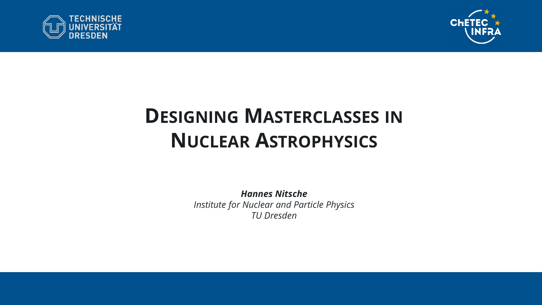



## **DESIGNING MASTERCLASSES IN NUCLEAR ASTROPHYSICS**

*Hannes Nitsche Institute for Nuclear and Particle Physics TU Dresden*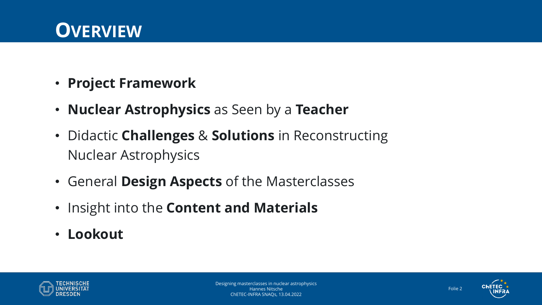#### **OVERVIEW**

- **Project Framework**
- **Nuclear Astrophysics** as Seen by a **Teacher**
- Didactic **Challenges** & **Solutions** in Reconstructing Nuclear Astrophysics
- General **Design Aspects** of the Masterclasses
- Insight into the **Content and Materials**
- **Lookout**



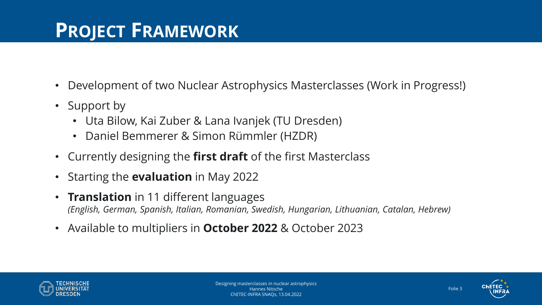### **PROJECT FRAMEWORK**

- Development of two Nuclear Astrophysics Masterclasses (Work in Progress!)
- Support by
	- Uta Bilow, Kai Zuber & Lana Ivanjek (TU Dresden)
	- Daniel Bemmerer & Simon Rümmler (HZDR)
- Currently designing the **first draft** of the first Masterclass
- Starting the **evaluation** in May 2022
- **Translation** in 11 different languages *(English, German, Spanish, Italian, Romanian, Swedish, Hungarian, Lithuanian, Catalan, Hebrew)*
- Available to multipliers in **October 2022** & October 2023



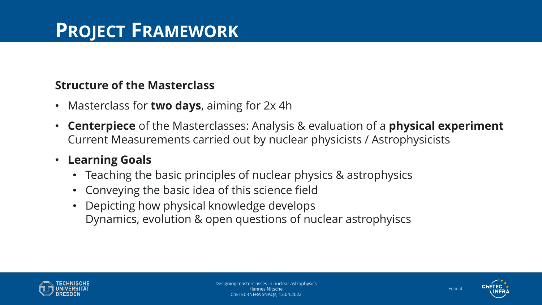#### **Structure of the Masterclass**

- Masterclass for **two days**, aiming for 2x 4h
- **Centerpiece** of the Masterclasses: Analysis & evaluation of a **physical experiment** Current Measurements carried out by nuclear physicists / Astrophysicists

#### • **Learning Goals**

- Teaching the basic principles of nuclear physics & astrophysics
- Conveying the basic idea of this science field
- Depicting how physical knowledge develops Dynamics, evolution & open questions of nuclear astrophyiscs



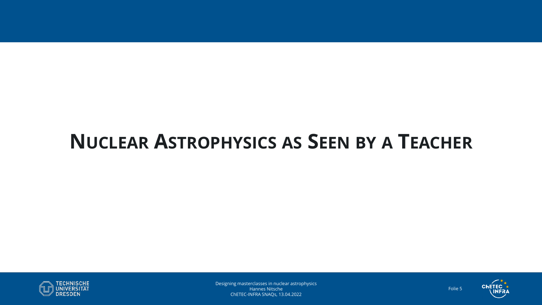

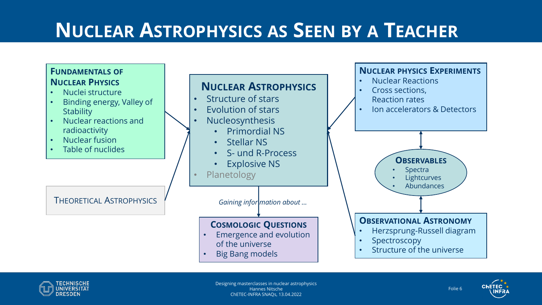



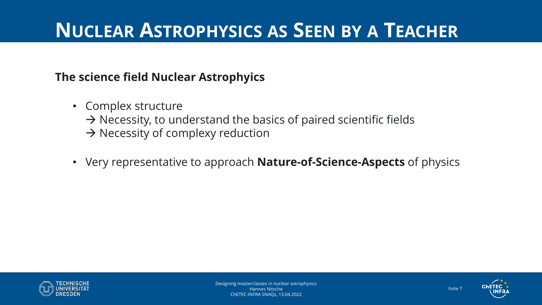#### **The science field Nuclear Astrophyics**

- Complex structure  $\rightarrow$  Necessity, to understand the basics of paired scientific fields  $\rightarrow$  Necessity of complexy reduction
- Very representative to approach **Nature-of-Science-Aspects** of physics



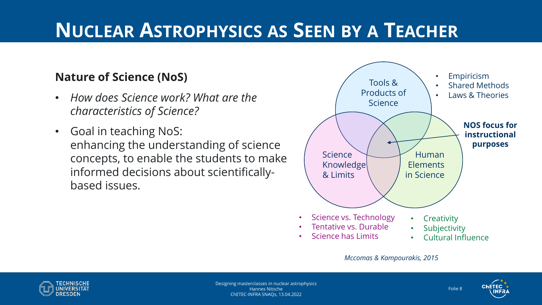#### **Nature of Science (NoS)**

- *How does Science work? What are the characteristics of Science?*
- Goal in teaching NoS: enhancing the understanding of science concepts, to enable the students to make informed decisions about scientificallybased issues.



*Mccomas & Kampourakis, 2015*





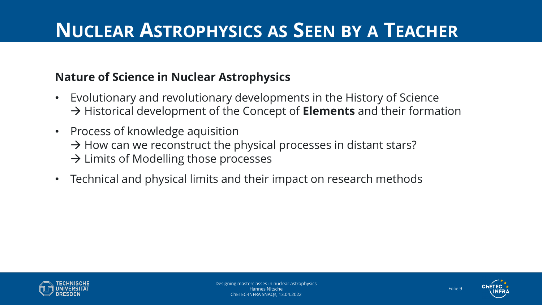#### **Nature of Science in Nuclear Astrophysics**

- Evolutionary and revolutionary developments in the History of Science → Historical development of the Concept of **Elements** and their formation
- Process of knowledge aquisition  $\rightarrow$  How can we reconstruct the physical processes in distant stars?  $\rightarrow$  Limits of Modelling those processes
- Technical and physical limits and their impact on research methods



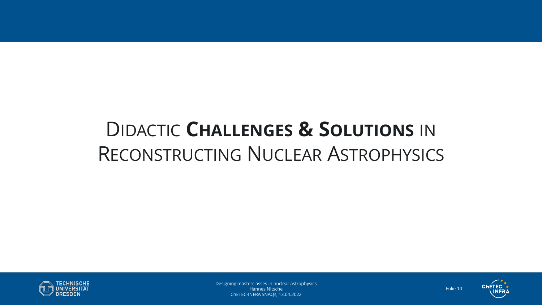# DIDACTIC **CHALLENGES & SOLUTIONS** IN RECONSTRUCTING NUCLEAR ASTROPHYSICS



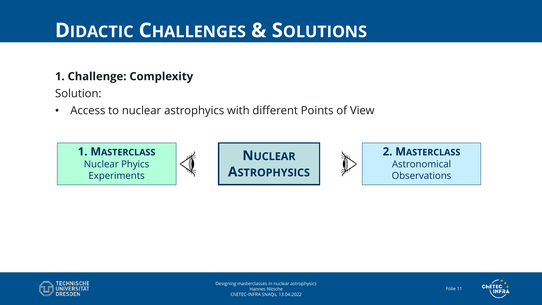#### **1. Challenge: Complexity**

Solution:

• Access to nuclear astrophyics with different Points of View





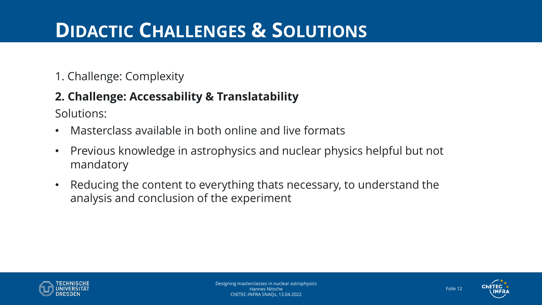#### 1. Challenge: Complexity

#### **2. Challenge: Accessability & Translatability**

Solutions:

- Masterclass available in both online and live formats
- Previous knowledge in astrophysics and nuclear physics helpful but not mandatory
- Reducing the content to everything thats necessary, to understand the analysis and conclusion of the experiment



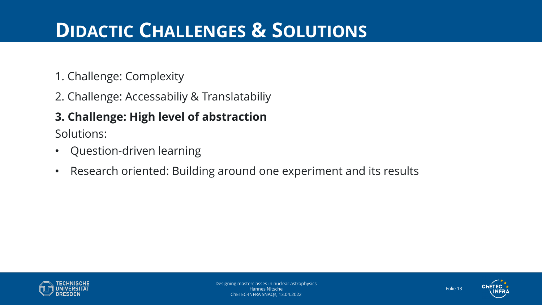- 1. Challenge: Complexity
- 2. Challenge: Accessabiliy & Translatabiliy

#### **3. Challenge: High level of abstraction**

Solutions:

- Question-driven learning
- Research oriented: Building around one experiment and its results



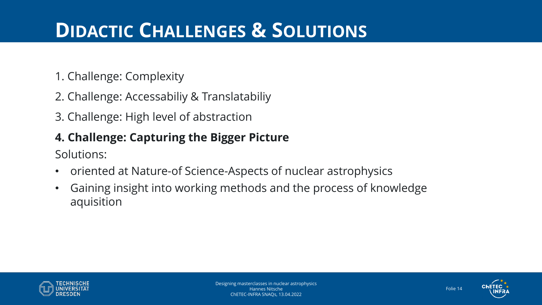- 1. Challenge: Complexity
- 2. Challenge: Accessabiliy & Translatabiliy
- 3. Challenge: High level of abstraction

#### **4. Challenge: Capturing the Bigger Picture**

Solutions:

- oriented at Nature-of Science-Aspects of nuclear astrophysics
- Gaining insight into working methods and the process of knowledge aquisition



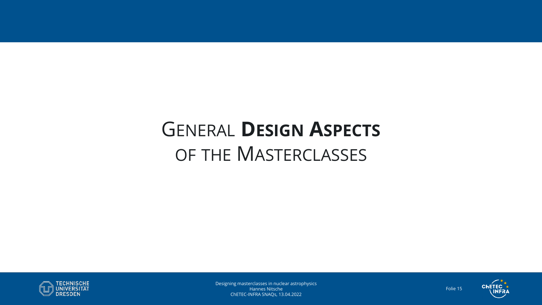# GENERAL **DESIGN ASPECTS** OF THE MASTERCLASSES



Designing masterclasses in nuclear astrophysics Hannes Nitsche ChETEC-INFRA SNAQs, 13.04.2022



Folie 15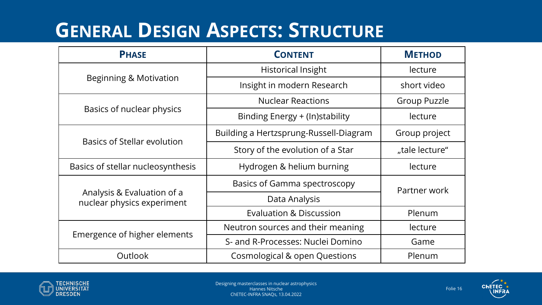### **GENERAL DESIGN ASPECTS: STRUCTURE**

| <b>PHASE</b>                                             | <b>CONTENT</b>                           | <b>METHOD</b>       |  |
|----------------------------------------------------------|------------------------------------------|---------------------|--|
|                                                          | <b>Historical Insight</b>                | lecture             |  |
| <b>Beginning &amp; Motivation</b>                        | Insight in modern Research               | short video         |  |
|                                                          | <b>Nuclear Reactions</b>                 | <b>Group Puzzle</b> |  |
| Basics of nuclear physics                                | Binding Energy + (In)stability           | lecture             |  |
| <b>Basics of Stellar evolution</b>                       | Building a Hertzsprung-Russell-Diagram   | Group project       |  |
|                                                          | Story of the evolution of a Star         | "tale lecture"      |  |
| Basics of stellar nucleosynthesis                        | Hydrogen & helium burning                | lecture             |  |
|                                                          | <b>Basics of Gamma spectroscopy</b>      | Partner work        |  |
| Analysis & Evaluation of a<br>nuclear physics experiment | Data Analysis                            |                     |  |
|                                                          | <b>Evaluation &amp; Discussion</b>       | Plenum              |  |
| Emergence of higher elements                             | Neutron sources and their meaning        | lecture             |  |
|                                                          | S- and R-Processes: Nuclei Domino        | Game                |  |
| <b>Outlook</b>                                           | <b>Cosmological &amp; open Questions</b> | Plenum              |  |



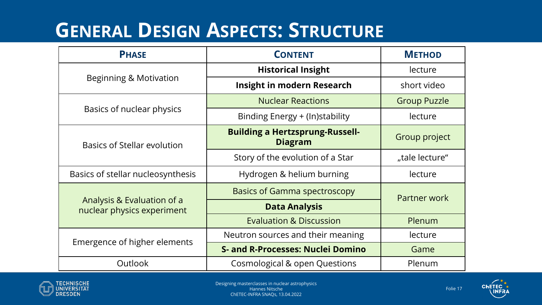### **GENERAL DESIGN ASPECTS: STRUCTURE**

| <b>PHASE</b>                                             | <b>CONTENT</b>                                           | <b>METHOD</b>       |  |
|----------------------------------------------------------|----------------------------------------------------------|---------------------|--|
|                                                          | <b>Historical Insight</b>                                | lecture             |  |
| Beginning & Motivation                                   | <b>Insight in modern Research</b>                        | short video         |  |
|                                                          | <b>Nuclear Reactions</b>                                 | <b>Group Puzzle</b> |  |
| Basics of nuclear physics                                | Binding Energy + (In)stability                           | lecture             |  |
| <b>Basics of Stellar evolution</b>                       | <b>Building a Hertzsprung-Russell-</b><br><b>Diagram</b> | Group project       |  |
|                                                          | Story of the evolution of a Star                         | "tale lecture"      |  |
| Basics of stellar nucleosynthesis                        | Hydrogen & helium burning                                | lecture             |  |
|                                                          | <b>Basics of Gamma spectroscopy</b>                      | Partner work        |  |
| Analysis & Evaluation of a<br>nuclear physics experiment | <b>Data Analysis</b>                                     |                     |  |
|                                                          | <b>Evaluation &amp; Discussion</b>                       | Plenum              |  |
| Emergence of higher elements                             | Neutron sources and their meaning                        | lecture             |  |
|                                                          | <b>S- and R-Processes: Nuclei Domino</b>                 | Game                |  |
| <b>Outlook</b>                                           | Cosmological & open Questions                            | Plenum              |  |





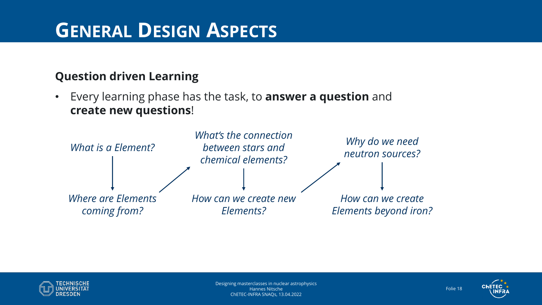### **GENERAL DESIGN ASPECTS**

#### **Question driven Learning**

• Every learning phase has the task, to **answer a question** and **create new questions**!





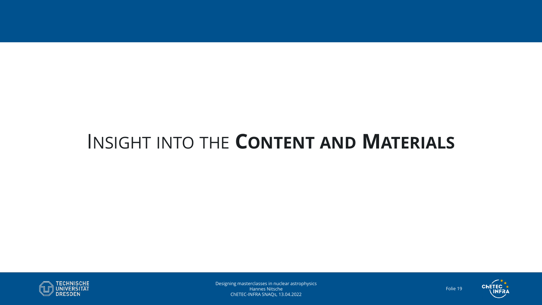

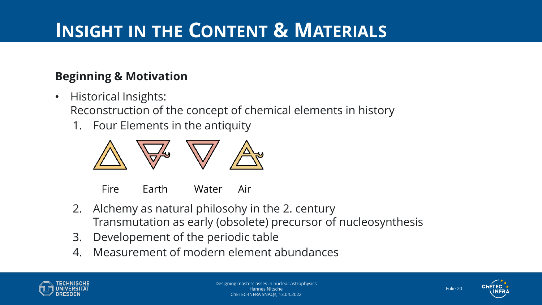#### **Beginning & Motivation**

- Historical Insights: Reconstruction of the concept of chemical elements in history
	- 1. Four Elements in the antiquity



Fire Earth Water Air

- 2. Alchemy as natural philosohy in the 2. century Transmutation as early (obsolete) precursor of nucleosynthesis
- 3. Developement of the periodic table
- 4. Measurement of modern element abundances



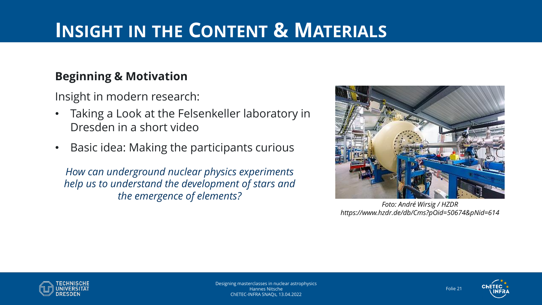#### **Beginning & Motivation**

Insight in modern research:

- Taking a Look at the Felsenkeller laboratory in Dresden in a short video
- Basic idea: Making the participants curious

*How can underground nuclear physics experiments help us to understand the development of stars and the emergence of elements?*



*Foto: André Wirsig / HZDR https://www.hzdr.de/db/Cms?pOid=50674&pNid=614*



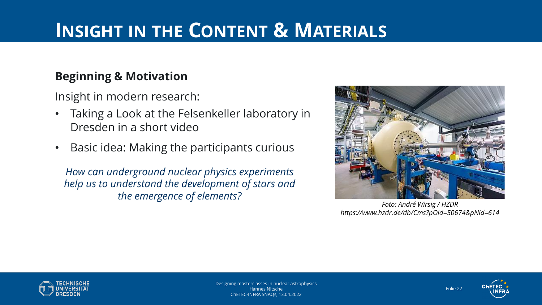#### **Beginning & Motivation**

Insight in modern research:

- Taking a Look at the Felsenkeller laboratory in Dresden in a short video
- Basic idea: Making the participants curious

*How can underground nuclear physics experiments help us to understand the development of stars and the emergence of elements?*



*Foto: André Wirsig / HZDR https://www.hzdr.de/db/Cms?pOid=50674&pNid=614*



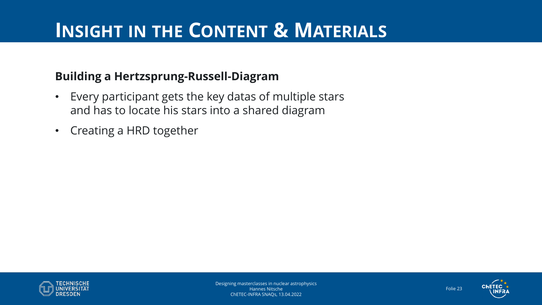#### **Building a Hertzsprung-Russell-Diagram**

- Every participant gets the key datas of multiple stars and has to locate his stars into a shared diagram
- Creating a HRD together



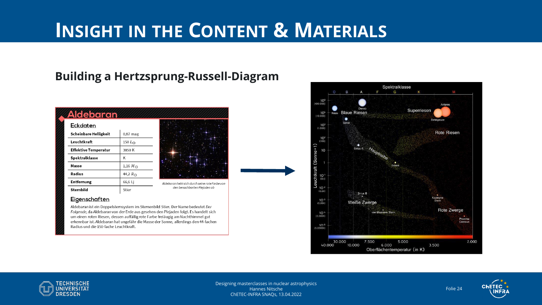#### **Building a Hertzsprung-Russell-Diagram**

| Eckdaten                    |                  |                        |
|-----------------------------|------------------|------------------------|
| Scheinbare Helligkeit       | $0,87$ mag       |                        |
| Leuchtkraft                 | 150 $L_{\odot}$  |                        |
| <b>Effektive Temperatur</b> | 3850 K           |                        |
| <b>Spektralklasse</b>       | K                |                        |
| Masse                       | 1,16 $M_{\odot}$ |                        |
| Radius                      | 44,2 $R_{\odot}$ |                        |
| <b>Entfernung</b>           | 66,6 Lj          | Aldebaran hebt sich du |
| <b>Sternbild</b>            | Stier            | den benachba           |



urch seine rote Farbe von irten Plejaden ab

#### Eigenschaften

Aldebaran ist ein Doppelsternsystem im Sternenbild Stier. Der Name bedeutet Der Folgende, da Aldebaran von der Erde aus gesehen den Plejaden folgt. Es handelt sich um einen roten Riesen, dessen auffällig rote Farbe freiäugig am Nachthimmel gut erkennbar ist. Aldebaran hat ungefähr die Masse der Sonne, allerdings den 44-fachen Radius und die 150-fache Leuchtkraft.





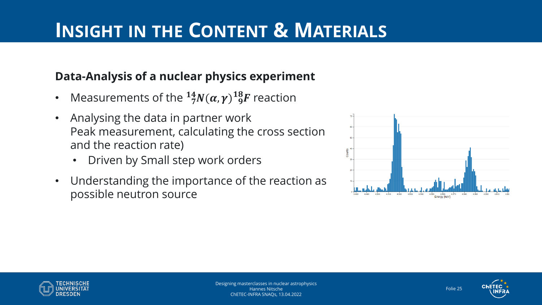#### **Data-Analysis of a nuclear physics experiment**

- Measurements of the  $^{14}_{7}N(\alpha,\gamma)^{18}_{~9}F$  reaction
- Analysing the data in partner work Peak measurement, calculating the cross section and the reaction rate)
	- Driven by Small step work orders
- Understanding the importance of the reaction as possible neutron source





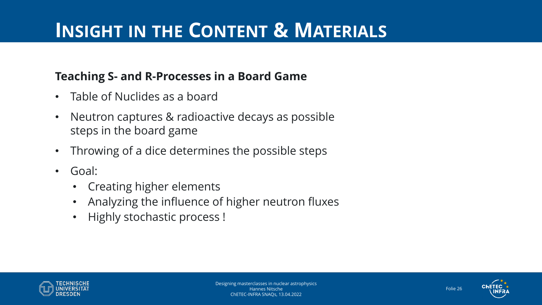#### **Teaching S- and R-Processes in a Board Game**

- Table of Nuclides as a board
- Neutron captures & radioactive decays as possible steps in the board game
- Throwing of a dice determines the possible steps
- Goal:
	- Creating higher elements
	- Analyzing the influence of higher neutron fluxes
	- Highly stochastic process !



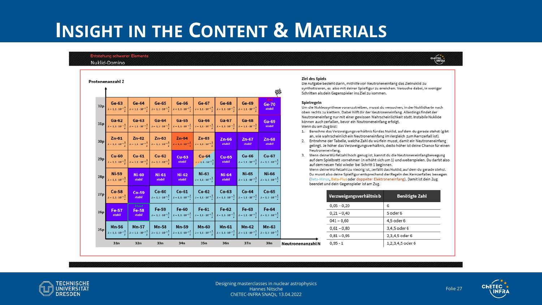#### Entstehung schwerer Elemente Nuklid-Domino

|     | Protonenanzahl Z                                             |                                                              |                                                         |                                                                                                                                                                                                                                      |                                                         |                                                                                                    |                                                              | ₩                                                     | ziet des ap<br>Die Aufgab<br>synthetisie<br>Schritten a |
|-----|--------------------------------------------------------------|--------------------------------------------------------------|---------------------------------------------------------|--------------------------------------------------------------------------------------------------------------------------------------------------------------------------------------------------------------------------------------|---------------------------------------------------------|----------------------------------------------------------------------------------------------------|--------------------------------------------------------------|-------------------------------------------------------|---------------------------------------------------------|
| 32p | $Ge-63$<br>$\lambda = 1.1 \cdot 10^{-7}$ $\frac{1}{2}$       | Ge-64<br>$\lambda = 1.1 \cdot 10^{-7} \frac{1}{2}$           | Ge-65                                                   | Ge-66<br>$\lambda = 1.1 \cdot 10^{-7} \frac{1}{\pi}$ $\lambda = 1.1 \cdot 10^{-7} \frac{1}{\pi}$                                                                                                                                     | Ge-67                                                   | Ge-68<br>$\lambda = 1, 1 \cdot 10^{-7} \frac{1}{\pi}$ $\lambda = 1, 1 \cdot 10^{-7} \frac{1}{\pi}$ | Ge-69<br>$\lambda=1,1\cdot 10^{-7}\frac{1}{\gamma}$          | <b>Ziel</b><br><b>Ge-70</b><br>stabil                 | Spielregelı<br>Um die Nul<br>oben recht:                |
| 31p | $Ga-62$<br>$\lambda = 1, 1 \cdot 10^{-7}$ $\frac{1}{1}$      | $Ga-63$<br>$\lambda = 1, 1 \cdot 10^{-7} \frac{1}{7}$        | $Ga-64$<br>$\lambda = 1, 1 \cdot 10^{-7} \frac{1}{e}$   | $Ga-65$<br>$\lambda = 1, 1 \cdot 10^{-7} \frac{1}{\epsilon}$                                                                                                                                                                         | $Ga-66$<br>$\lambda = 1, 1 \cdot 10^{-7} \frac{1}{2}$   | $Ga-67$<br>$\lambda = 1, 1 \cdot 10^{-7}$ $\frac{1}{1}$                                            | $Ga-68$<br>$\lambda = 1, 1 \cdot 10^{-7}$ $\frac{1}{1}$      | Ga-69<br>stabil                                       | Neutronene<br>können au<br>Wenn du ar<br>Berech<br>1.   |
| 30p | $Zn-61$<br>$\lambda = 1, 1 \cdot 10^{-7}$ $\frac{1}{2}$      | $Zn-62$<br>$\lambda = 1, 1 \cdot 10^{-7} \frac{1}{\epsilon}$ | $Zn-63$<br>$\lambda = 1, 1 \cdot 10^{-7}$ $\frac{1}{2}$ | $Zn-64$<br>$\lambda = 1, 1 \cdot 10^{-7}$ <sup>1</sup>                                                                                                                                                                               | Zn-65<br>$\lambda = 1, 1 \cdot 10^{-7}$                 | $Zn-66$<br>stabil                                                                                  | $Zn-67$<br>stabil                                            | $Zn-68$<br>stabil                                     | an, wie<br>Entneh<br>2.<br>gelingt                      |
| 29p | $Cu-60$<br>$\lambda = 1, 1 \cdot 10^{-7} \frac{1}{\epsilon}$ | $Cu-61$<br>$\lambda = 1, 1 \cdot 10^{-7}$ $\frac{1}{2}$      | $Cu-62$<br>$\lambda = 1, 1 \cdot 10^{-7}$ $\frac{1}{2}$ | $Cu-63$<br>stabil                                                                                                                                                                                                                    | $Cu-64$<br>$\lambda = 1.1 \cdot 10^{-7}$                | $Cu-65$<br>stabil                                                                                  | Cu-66<br>$\lambda = 1, 1 \cdot 10^{-7}$ $\frac{1}{2}$        | Cu-67<br>$\lambda = 1, 1 \cdot 10^{-7}$ $\frac{1}{2}$ | Neutro<br>Wenn<br>3.<br>auf de<br>auf de                |
| 28p | <b>Ni-59</b><br>$\lambda = 1, 1 \cdot 10^{-7} \frac{1}{2}$   | <b>Ni-60</b><br>stabil                                       | <b>Ni-61</b><br>stabil                                  | <b>Ni-62</b><br>stabil                                                                                                                                                                                                               | Ni-63<br>$\lambda = 1, 1 \cdot 10^{-7}$                 | <b>Ni-64</b><br>stabil                                                                             | <b>Ni-65</b><br>$\lambda = 1, 1 \cdot 10^{-7}$ $\frac{1}{2}$ | <b>Ni-66</b><br>$\lambda = 1, 1 \cdot 10^{-7}$        | Wenn<br>Du mu<br>(Beta-l<br>beend                       |
| 27p | $Co-58$<br>$-1.1 \cdot 10^{-7}$ <sup>1</sup>                 | $Co-59$<br>stabil                                            | $Co-60$                                                 | $Co-61$<br>$\lambda = 1, 1 \cdot 10^{-7} \frac{1}{\epsilon}$ $\left  \lambda = 1, 1 \cdot 10^{-7} \frac{1}{\epsilon} \right $                                                                                                        | $Co-62$<br>$\lambda = 1, 1 \cdot 10^{-7}$ $\frac{1}{2}$ | $Co-63$<br>$\lambda = 1, 1 \cdot 10^{-7}$ $\frac{1}{1}$                                            | $Co-64$<br>$\lambda = 1, 1 \cdot 10^{-7}$ $\frac{1}{2}$      | $Co-65$<br>$\lambda = 1.1 \cdot 10^{-7}$              |                                                         |
| 26p | Fe-57<br>stabil                                              | <b>Start</b><br>Fe-58<br>stabil                              | Fe-59                                                   | Fe-60<br>$\lambda = 1, 1 \cdot 10^{-7} \frac{1}{e}$ $\lambda = 1, 1 \cdot 10^{-7} \frac{1}{e}$ $\lambda = 1, 1 \cdot 10^{-7} \frac{1}{e}$                                                                                            | Fe-61                                                   | Fe-62<br>$\lambda = 1, 1 \cdot 10^{-7} \frac{1}{\epsilon}$                                         | Fe-63<br>$\lambda = 1, 1 \cdot 10^{-7}$ $\frac{1}{2}$        | Fe-64<br>$\lambda = 1, 1 \cdot 10^{-7}$ $\frac{1}{2}$ |                                                         |
| 25p | Mn-56<br>$k = 1, 1 \cdot 10^{-7} \frac{1}{10}$               | Mn-57                                                        | <b>Mn-58</b>                                            | Mn-59<br>$\lambda = 1.1 \cdot 10^{-7} \frac{1}{\pi}$ $\lambda = 1.1 \cdot 10^{-7} \frac{1}{\pi}$ $\lambda = 1.1 \cdot 10^{-7} \frac{1}{\pi}$ $\lambda = 1.1 \cdot 10^{-7} \frac{1}{\pi}$ $\lambda = 1.1 \cdot 10^{-7} \frac{1}{\pi}$ | <b>Mn-60</b>                                            | Mn-61                                                                                              | $Mn-62$<br>$\lambda = 1.1 \cdot 10^{-7} \frac{1}{r}$         | Mn-63<br>$\lambda = 1.1 \cdot 10^{-7}$                |                                                         |
|     | 31n                                                          | 32n                                                          | 33n                                                     | 34n                                                                                                                                                                                                                                  | 35n                                                     | 36n                                                                                                | 37n                                                          | 38n                                                   | Neutronenanzahl N                                       |

#### Ziel des Spiels

Die Aufgabe besteht darin, mithilfe von Neutroneneinfang das Zielnuklid zu synthetisieren, es also mit deiner Spielfigur zu erreichen. Versuche dabei, in weniger Schritten als dein Gegenspieler ins Ziel zu kommen.

#### Spielregeln

Um die Nukleosynthese voranzutreiben, musst du versuchen, in der Nuklidkarte nach oben rechts zu klettern. Dabei hilft dir der Neutroneneinfang. Allerdings findet der Neutroneneinfang nur mit einer gewissen Wahrscheinlichkeit statt. Instabile Nuklide können auch zerfallen, bevor ein Neutroneneinfang erfolgt. Wenn du am Zug bist:

- 1. Berechne das Verzweigungsverhältnis für das Nuklid, auf dem du gerade stehst (gibt an, wie wahrscheinlich ein Neutroneneinfang im Vergleich zum Kernzerfall ist).
- 2. Entnehme der Tabelle, welche Zahl du würfeln musst, damit ein Neutroneneinfang gelingt. Je höher das Verzweigungsverhältnis, desto höher ist deine Chance für einen Neutroneneinfang.
- 3. Wenn deine Würfelzahl hoch genug ist, kannst du die Neutroneneinfangbewegung auf dem Spielbrett vornehmen (n erhöht sich um 1) und weiterspielen. Du darfst also auf dem neuen Feld wieder bei Schritt 1 beginnen.

Wenn deine Würfelzahl zu niedrig ist, zerfällt das Nuklid, auf dem du gerade stehst. Du musst also deine Spielfigur entsprechend der Regeln des Kernzerfalles bewegen (Beta-Minus, Beta-Plus oder doppelter Elektroneneinfang). Damit ist dein Zug beendet und dein Gegenspieler ist am Zug.

| Verzweigungsverhältnis b | Benötigte Zahl   |
|--------------------------|------------------|
| $0.05 - 0.20$            | 6                |
| $0,21 - 0,40$            | 5 oder 6         |
| $041 - 0.60$             | 4,5 oder 6       |
| $0,61 - 0,80$            | 3,4,5 oder 6     |
| $0,81 - 0,95$            | 2,3,4,5 oder 6   |
| $0.95 - 1$               | 1,2,3,4,5 oder 6 |